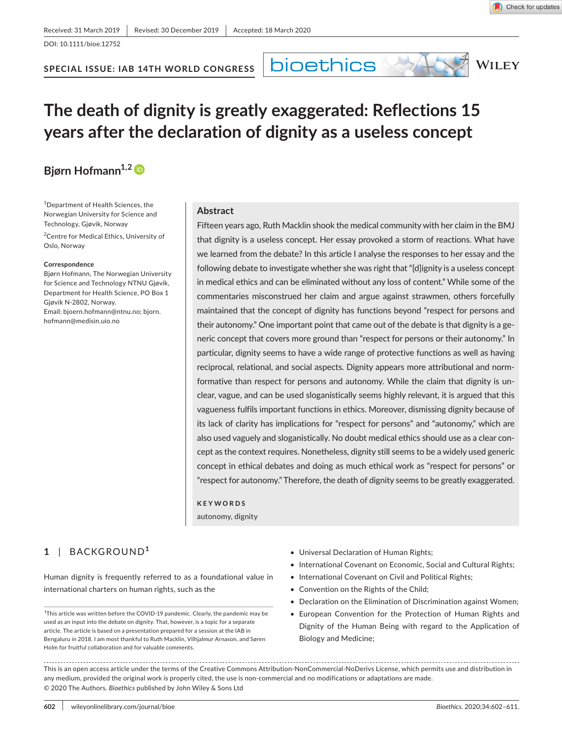DOI: 10.1111/bioe.12752

**SPECIAL ISSUE: IAB 14TH WORLD CONGRESS**

bioethics



## **The death of dignity is greatly exaggerated: Reflections 15 years after the declaration of dignity as a useless concept**

## **Bjørn Hofmann<sup>1,2</sup><sup>D</sup>**

1 Department of Health Sciences, the Norwegian University for Science and Technology, Gjøvik, Norway

<sup>2</sup> Centre for Medical Ethics, University of Oslo, Norway

#### **Correspondence**

Bjørn Hofmann, The Norwegian University for Science and Technology NTNU Gjøvik, Department for Health Science, PO Box 1 Gjøvik N-2802, Norway. Email: [bjoern.hofmann@ntnu.no](mailto:bjoern.hofmann@ntnu.no); [bjorn.](mailto:bjorn.hofmann@medisin.uio.no) [hofmann@medisin.uio.no](mailto:bjorn.hofmann@medisin.uio.no)

#### **Abstract**

Fifteen years ago, Ruth Macklin shook the medical community with her claim in the BMJ that dignity is a useless concept. Her essay provoked a storm of reactions. What have we learned from the debate? In this article I analyse the responses to her essay and the following debate to investigate whether she was right that "[d]ignity is a useless concept in medical ethics and can be eliminated without any loss of content." While some of the commentaries misconstrued her claim and argue against strawmen, others forcefully maintained that the concept of dignity has functions beyond "respect for persons and their autonomy." One important point that came out of the debate is that dignity is a generic concept that covers more ground than "respect for persons or their autonomy." In particular, dignity seems to have a wide range of protective functions as well as having reciprocal, relational, and social aspects. Dignity appears more attributional and normformative than respect for persons and autonomy. While the claim that dignity is unclear, vague, and can be used sloganistically seems highly relevant, it is argued that this vagueness fulfils important functions in ethics. Moreover, dismissing dignity because of its lack of clarity has implications for "respect for persons" and "autonomy," which are also used vaguely and sloganistically. No doubt medical ethics should use as a clear concept as the context requires. Nonetheless, dignity still seems to be a widely used generic concept in ethical debates and doing as much ethical work as "respect for persons" or "respect for autonomy." Therefore, the death of dignity seems to be greatly exaggerated.

**KEYWORDS**

autonomy, dignity

### **1** | BACKGROUND**<sup>1</sup>**

Human dignity is frequently referred to as a foundational value in international charters on human rights, such as the

<sup>1</sup>This article was written before the COVID-19 pandemic. Clearly, the pandemic may be used as an input into the debate on dignity. That, however, is a topic for a separate article. The article is based on a presentation prepared for a session at the IAB in Bengaluru in 2018. I am most thankful to Ruth Macklin, Vilhjalmur Arnason, and Søren Holm for fruitful collaboration and for valuable comments.

- Universal Declaration of Human Rights;
- International Covenant on Economic, Social and Cultural Rights;
- International Covenant on Civil and Political Rights;
- Convention on the Rights of the Child;
- Declaration on the Elimination of Discrimination against Women;
- European Convention for the Protection of Human Rights and Dignity of the Human Being with regard to the Application of Biology and Medicine;

This is an open access article under the terms of the [Creative Commons Attribution-NonCommercial-NoDerivs](http://creativecommons.org/licenses/by-nc-nd/4.0/) License, which permits use and distribution in any medium, provided the original work is properly cited, the use is non-commercial and no modifications or adaptations are made. © 2020 The Authors. *Bioethics* published by John Wiley & Sons Ltd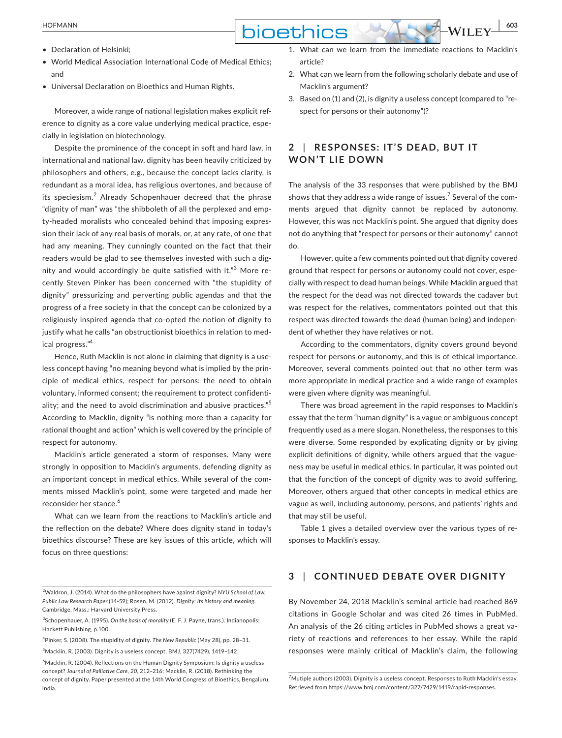- Declaration of Helsinki;
- World Medical Association International Code of Medical Ethics; and
- Universal Declaration on Bioethics and Human Rights.

Moreover, a wide range of national legislation makes explicit reference to dignity as a core value underlying medical practice, especially in legislation on biotechnology.

Despite the prominence of the concept in soft and hard law, in international and national law, dignity has been heavily criticized by philosophers and others, e.g., because the concept lacks clarity, is redundant as a moral idea, has religious overtones, and because of its speciesism.<sup>2</sup> Already Schopenhauer decreed that the phrase "dignity of man" was "the shibboleth of all the perplexed and empty-headed moralists who concealed behind that imposing expression their lack of any real basis of morals, or, at any rate, of one that had any meaning. They cunningly counted on the fact that their readers would be glad to see themselves invested with such a dignity and would accordingly be quite satisfied with it."<sup>3</sup> More recently Steven Pinker has been concerned with "the stupidity of dignity" pressurizing and perverting public agendas and that the progress of a free society in that the concept can be colonized by a religiously inspired agenda that co-opted the notion of dignity to justify what he calls "an obstructionist bioethics in relation to medical progress."4

Hence, Ruth Macklin is not alone in claiming that dignity is a useless concept having "no meaning beyond what is implied by the principle of medical ethics, respect for persons: the need to obtain voluntary, informed consent; the requirement to protect confidentiality; and the need to avoid discrimination and abusive practices."<sup>5</sup> According to Macklin, dignity "is nothing more than a capacity for rational thought and action" which is well covered by the principle of respect for autonomy.

Macklin's article generated a storm of responses. Many were strongly in opposition to Macklin's arguments, defending dignity as an important concept in medical ethics. While several of the comments missed Macklin's point, some were targeted and made her reconsider her stance.<sup>6</sup>

What can we learn from the reactions to Macklin's article and the reflection on the debate? Where does dignity stand in today's bioethics discourse? These are key issues of this article, which will focus on three questions:

4 Pinker, S. (2008). The stupidity of dignity. *The New Republic* (May 28)*,* pp. 28–31.

5 Macklin, R. (2003). Dignity is a useless concept. BMJ, 327(7429), 1419–142.

- 1. What can we learn from the immediate reactions to Macklin's article?
- 2. What can we learn from the following scholarly debate and use of Macklin's argument?
- 3. Based on (1) and (2), is dignity a useless concept (compared to "respect for persons or their autonomy")?

### **2** | **RESPONSES: IT'S DE AD, BUT IT WON'T LIE DOWN**

The analysis of the 33 responses that were published by the BMJ shows that they address a wide range of issues.<sup>7</sup> Several of the comments argued that dignity cannot be replaced by autonomy. However, this was not Macklin's point. She argued that dignity does not do anything that "respect for persons or their autonomy" cannot do.

However, quite a few comments pointed out that dignity covered ground that respect for persons or autonomy could not cover, especially with respect to dead human beings. While Macklin argued that the respect for the dead was not directed towards the cadaver but was respect for the relatives, commentators pointed out that this respect was directed towards the dead (human being) and independent of whether they have relatives or not.

According to the commentators, dignity covers ground beyond respect for persons or autonomy, and this is of ethical importance. Moreover, several comments pointed out that no other term was more appropriate in medical practice and a wide range of examples were given where dignity was meaningful.

There was broad agreement in the rapid responses to Macklin's essay that the term "human dignity" is a vague or ambiguous concept frequently used as a mere slogan. Nonetheless, the responses to this were diverse. Some responded by explicating dignity or by giving explicit definitions of dignity, while others argued that the vagueness may be useful in medical ethics. In particular, it was pointed out that the function of the concept of dignity was to avoid suffering. Moreover, others argued that other concepts in medical ethics are vague as well, including autonomy, persons, and patients' rights and that may still be useful.

Table 1 gives a detailed overview over the various types of responses to Macklin's essay.

#### **3** | **CONTINUED DEBATE OVER DIGNITY**

By November 24, 2018 Macklin's seminal article had reached 869 citations in Google Scholar and was cited 26 times in PubMed. An analysis of the 26 citing articles in PubMed shows a great variety of reactions and references to her essay. While the rapid responses were mainly critical of Macklin's claim, the following

<sup>2</sup> Waldron, J. (2014). What do the philosophers have against dignity? *NYU School of Law, Public Law Research Paper* (14-59); Rosen, M. (2012). *Dignity: Its history and meaning*. Cambridge, Mass.: Harvard University Press.

<sup>3</sup> Schopenhauer, A. (1995). *On the basis of morality* (E. F. J. Payne, trans.). Indianopolis: Hackett Publishing, p.100.

<sup>&</sup>lt;sup>6</sup>Macklin, R. (2004). Reflections on the Human Dignity Symposium: Is dignity a useless concept? *Journal of Palliative Care, 20*, 212–216; Macklin, R. (2018). Rethinking the concept of dignity. Paper presented at the 14th World Congress of Bioethics, Bengaluru, India.

<sup>&</sup>lt;sup>7</sup> Mutiple authors (2003). Dignity is a useless concept. Responses to Ruth Macklin's essay. Retrieved from https://www.bmj.com/content/327/7429/1419/rapid-responses.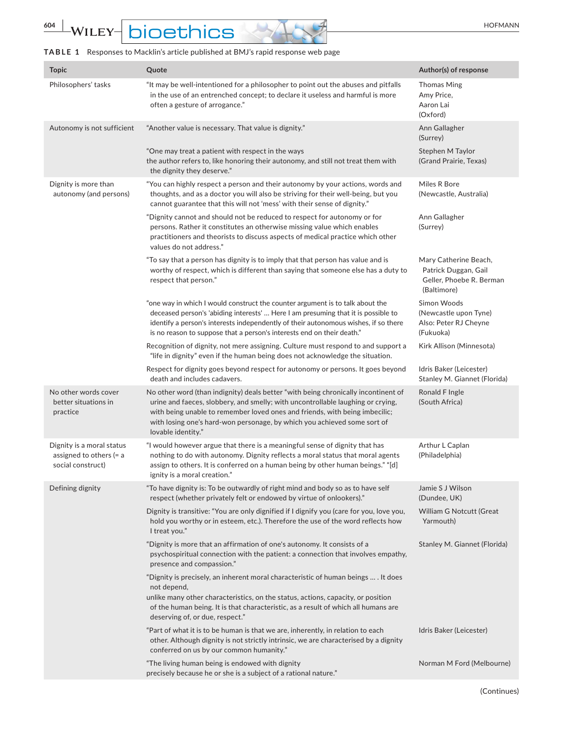# **604 WILEY-DIOEthics**

### **TABLE 1** Responses to Macklin's article published at BMJ's rapid response web page

| <b>Topic</b>                                                                | Quote                                                                                                                                                                                                                                                                                                                                                  | Author(s) of response                                                                    |
|-----------------------------------------------------------------------------|--------------------------------------------------------------------------------------------------------------------------------------------------------------------------------------------------------------------------------------------------------------------------------------------------------------------------------------------------------|------------------------------------------------------------------------------------------|
| Philosophers' tasks                                                         | "It may be well-intentioned for a philosopher to point out the abuses and pitfalls<br>in the use of an entrenched concept; to declare it useless and harmful is more<br>often a gesture of arrogance."                                                                                                                                                 | <b>Thomas Ming</b><br>Amy Price,<br>Aaron Lai<br>(Oxford)                                |
| Autonomy is not sufficient                                                  | "Another value is necessary. That value is dignity."                                                                                                                                                                                                                                                                                                   | Ann Gallagher<br>(Surrey)                                                                |
|                                                                             | "One may treat a patient with respect in the ways<br>the author refers to, like honoring their autonomy, and still not treat them with<br>the dignity they deserve."                                                                                                                                                                                   | Stephen M Taylor<br>(Grand Prairie, Texas)                                               |
| Dignity is more than<br>autonomy (and persons)                              | "You can highly respect a person and their autonomy by your actions, words and<br>thoughts, and as a doctor you will also be striving for their well-being, but you<br>cannot guarantee that this will not 'mess' with their sense of dignity."                                                                                                        | Miles R Bore<br>(Newcastle, Australia)                                                   |
|                                                                             | "Dignity cannot and should not be reduced to respect for autonomy or for<br>persons. Rather it constitutes an otherwise missing value which enables<br>practitioners and theorists to discuss aspects of medical practice which other<br>values do not address."                                                                                       | Ann Gallagher<br>(Surrey)                                                                |
|                                                                             | "To say that a person has dignity is to imply that that person has value and is<br>worthy of respect, which is different than saying that someone else has a duty to<br>respect that person."                                                                                                                                                          | Mary Catherine Beach,<br>Patrick Duggan, Gail<br>Geller, Phoebe R. Berman<br>(Baltimore) |
|                                                                             | "one way in which I would construct the counter argument is to talk about the<br>deceased person's 'abiding interests'  Here I am presuming that it is possible to<br>identify a person's interests independently of their autonomous wishes, if so there<br>is no reason to suppose that a person's interests end on their death."                    | Simon Woods<br>(Newcastle upon Tyne)<br>Also: Peter RJ Cheyne<br>(Fukuoka)               |
|                                                                             | Recognition of dignity, not mere assigning. Culture must respond to and support a<br>"life in dignity" even if the human being does not acknowledge the situation.                                                                                                                                                                                     | Kirk Allison (Minnesota)                                                                 |
|                                                                             | Respect for dignity goes beyond respect for autonomy or persons. It goes beyond<br>death and includes cadavers.                                                                                                                                                                                                                                        | Idris Baker (Leicester)<br>Stanley M. Giannet (Florida)                                  |
| No other words cover<br>better situations in<br>practice                    | No other word (than indignity) deals better "with being chronically incontinent of<br>urine and faeces, slobbery, and smelly; with uncontrollable laughing or crying,<br>with being unable to remember loved ones and friends, with being imbecilic;<br>with losing one's hard-won personage, by which you achieved some sort of<br>lovable identity." | Ronald F Ingle<br>(South Africa)                                                         |
| Dignity is a moral status<br>assigned to others $(= a$<br>social construct) | "I would however argue that there is a meaningful sense of dignity that has<br>nothing to do with autonomy. Dignity reflects a moral status that moral agents<br>assign to others. It is conferred on a human being by other human beings." "[d]<br>ignity is a moral creation."                                                                       | Arthur L Caplan<br>(Philadelphia)                                                        |
| Defining dignity                                                            | 'To have dignity is: To be outwardly of right mind and body so as to have self<br>respect (whether privately felt or endowed by virtue of onlookers)."                                                                                                                                                                                                 | Jamie S J Wilson<br>(Dundee, UK)                                                         |
|                                                                             | Dignity is transitive: "You are only dignified if I dignify you (care for you, love you,<br>hold you worthy or in esteem, etc.). Therefore the use of the word reflects how<br>I treat you."                                                                                                                                                           | William G Notcutt (Great<br>Yarmouth)                                                    |
|                                                                             | "Dignity is more that an affirmation of one's autonomy. It consists of a<br>psychospiritual connection with the patient: a connection that involves empathy,<br>presence and compassion."                                                                                                                                                              | Stanley M. Giannet (Florida)                                                             |
|                                                                             | "Dignity is precisely, an inherent moral characteristic of human beings  . It does<br>not depend,<br>unlike many other characteristics, on the status, actions, capacity, or position<br>of the human being. It is that characteristic, as a result of which all humans are<br>deserving of, or due, respect."                                         |                                                                                          |
|                                                                             | "Part of what it is to be human is that we are, inherently, in relation to each<br>other. Although dignity is not strictly intrinsic, we are characterised by a dignity<br>conferred on us by our common humanity."                                                                                                                                    | Idris Baker (Leicester)                                                                  |
|                                                                             | "The living human being is endowed with dignity<br>precisely because he or she is a subject of a rational nature."                                                                                                                                                                                                                                     | Norman M Ford (Melbourne)                                                                |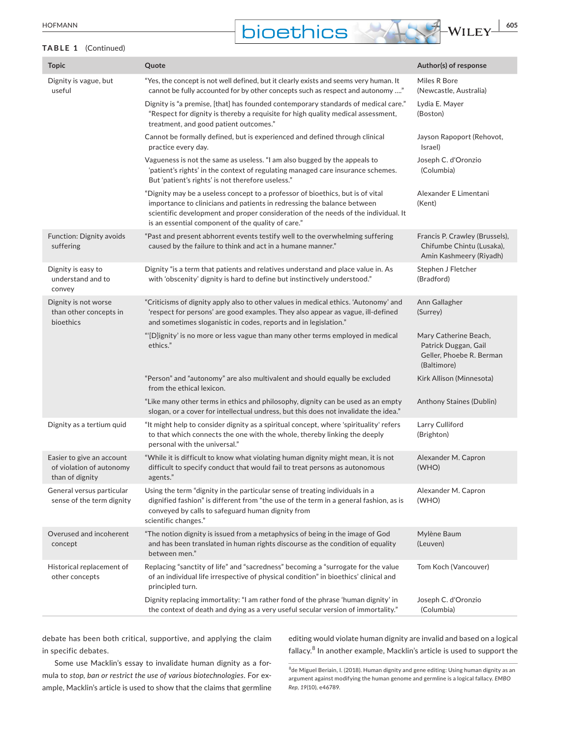**bioethics**  $\frac{10F}{100}$  WILEY  $\frac{1}{100}$ 

#### **TABLE 1** (Continued)

| <b>Topic</b>                                                             | Quote                                                                                                                                                                                                                                                                                                 | Author(s) of response                                                                    |
|--------------------------------------------------------------------------|-------------------------------------------------------------------------------------------------------------------------------------------------------------------------------------------------------------------------------------------------------------------------------------------------------|------------------------------------------------------------------------------------------|
| Dignity is vague, but<br>useful                                          | "Yes, the concept is not well defined, but it clearly exists and seems very human. It<br>cannot be fully accounted for by other concepts such as respect and autonomy "                                                                                                                               | Miles R Bore<br>(Newcastle, Australia)                                                   |
|                                                                          | Dignity is "a premise, [that] has founded contemporary standards of medical care."<br>"Respect for dignity is thereby a requisite for high quality medical assessment,<br>treatment, and good patient outcomes."                                                                                      | Lydia E. Mayer<br>(Boston)                                                               |
|                                                                          | Cannot be formally defined, but is experienced and defined through clinical<br>practice every day.                                                                                                                                                                                                    | Jayson Rapoport (Rehovot,<br>Israel)                                                     |
|                                                                          | Vagueness is not the same as useless. "I am also bugged by the appeals to<br>'patient's rights' in the context of regulating managed care insurance schemes.<br>But 'patient's rights' is not therefore useless."                                                                                     | Joseph C. d'Oronzio<br>(Columbia)                                                        |
|                                                                          | "Dignity may be a useless concept to a professor of bioethics, but is of vital<br>importance to clinicians and patients in redressing the balance between<br>scientific development and proper consideration of the needs of the individual. It<br>is an essential component of the quality of care." | Alexander E Limentani<br>(Kent)                                                          |
| Function: Dignity avoids<br>suffering                                    | "Past and present abhorrent events testify well to the overwhelming suffering<br>caused by the failure to think and act in a humane manner."                                                                                                                                                          | Francis P. Crawley (Brussels),<br>Chifumbe Chintu (Lusaka),<br>Amin Kashmeery (Riyadh)   |
| Dignity is easy to<br>understand and to<br>convey                        | Dignity "is a term that patients and relatives understand and place value in. As<br>with 'obscenity' dignity is hard to define but instinctively understood."                                                                                                                                         | Stephen J Fletcher<br>(Bradford)                                                         |
| Dignity is not worse<br>than other concepts in<br>bioethics              | "Criticisms of dignity apply also to other values in medical ethics. 'Autonomy' and<br>'respect for persons' are good examples. They also appear as vague, ill-defined<br>and sometimes sloganistic in codes, reports and in legislation."                                                            | Ann Gallagher<br>(Surrey)                                                                |
|                                                                          | "[D]ignity' is no more or less vague than many other terms employed in medical<br>ethics."                                                                                                                                                                                                            | Mary Catherine Beach,<br>Patrick Duggan, Gail<br>Geller, Phoebe R. Berman<br>(Baltimore) |
|                                                                          | "Person" and "autonomy" are also multivalent and should equally be excluded<br>from the ethical lexicon.                                                                                                                                                                                              | Kirk Allison (Minnesota)                                                                 |
|                                                                          | "Like many other terms in ethics and philosophy, dignity can be used as an empty<br>slogan, or a cover for intellectual undress, but this does not invalidate the idea."                                                                                                                              | Anthony Staines (Dublin)                                                                 |
| Dignity as a tertium quid                                                | "It might help to consider dignity as a spiritual concept, where 'spirituality' refers<br>to that which connects the one with the whole, thereby linking the deeply<br>personal with the universal."                                                                                                  | Larry Culliford<br>(Brighton)                                                            |
| Easier to give an account<br>of violation of autonomy<br>than of dignity | "While it is difficult to know what violating human dignity might mean, it is not<br>difficult to specify conduct that would fail to treat persons as autonomous<br>agents."                                                                                                                          | Alexander M. Capron<br>(WHO)                                                             |
| General versus particular<br>sense of the term dignity                   | Using the term "dignity in the particular sense of treating individuals in a<br>dignified fashion" is different from "the use of the term in a general fashion, as is<br>conveyed by calls to safeguard human dignity from<br>scientific changes."                                                    | Alexander M. Capron<br>(WHO)                                                             |
| Overused and incoherent<br>concept                                       | "The notion dignity is issued from a metaphysics of being in the image of God<br>and has been translated in human rights discourse as the condition of equality<br>between men."                                                                                                                      | Mylène Baum<br>(Leuven)                                                                  |
| Historical replacement of<br>other concepts                              | Replacing "sanctity of life" and "sacredness" becoming a "surrogate for the value<br>of an individual life irrespective of physical condition" in bioethics' clinical and<br>principled turn.                                                                                                         | Tom Koch (Vancouver)                                                                     |
|                                                                          | Dignity replacing immortality: "I am rather fond of the phrase 'human dignity' in<br>the context of death and dying as a very useful secular version of immortality."                                                                                                                                 | Joseph C. d'Oronzio<br>(Columbia)                                                        |

debate has been both critical, supportive, and applying the claim in specific debates.

Some use Macklin's essay to invalidate human dignity as a formula to *stop, ban or restrict the use of various biotechnologies*. For example, Macklin's article is used to show that the claims that germline

editing would violate human dignity are invalid and based on a logical fallacy.<sup>8</sup> In another example, Macklin's article is used to support the

<sup>8</sup>de Miguel Beriain, I. (2018). Human dignity and gene editing: Using human dignity as an argument against modifying the human genome and germline is a logical fallacy. *EMBO Rep, 19*(10), e46789.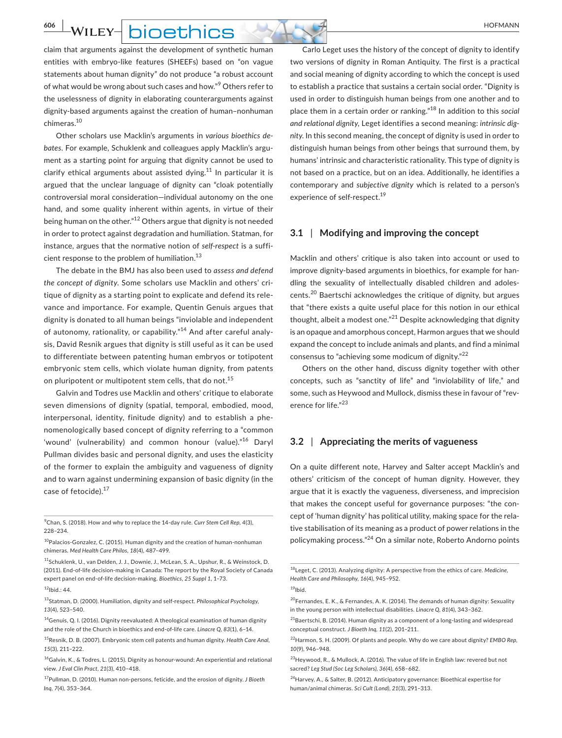**606 | WILEY- | DIOETHICS**  $\rightarrow$  **AND FORMANN** 

claim that arguments against the development of synthetic human entities with embryo-like features (SHEEFs) based on "on vague statements about human dignity" do not produce "a robust account of what would be wrong about such cases and how."<sup>9</sup> Others refer to the uselessness of dignity in elaborating counterarguments against dignity-based arguments against the creation of human–nonhuman chimeras.10

Other scholars use Macklin's arguments in *various bioethics debates*. For example, Schuklenk and colleagues apply Macklin's argument as a starting point for arguing that dignity cannot be used to clarify ethical arguments about assisted dying.<sup>11</sup> In particular it is argued that the unclear language of dignity can "cloak potentially controversial moral consideration—individual autonomy on the one hand, and some quality inherent within agents, in virtue of their being human on the other."12 Others argue that dignity is not needed in order to protect against degradation and humiliation. Statman, for instance, argues that the normative notion of *self-respect* is a sufficient response to the problem of humiliation. $13$ 

The debate in the BMJ has also been used to *assess and defend the concept of dignity*. Some scholars use Macklin and others' critique of dignity as a starting point to explicate and defend its relevance and importance. For example, Quentin Genuis argues that dignity is donated to all human beings "inviolable and independent of autonomy, rationality, or capability."<sup>14</sup> And after careful analysis, David Resnik argues that dignity is still useful as it can be used to differentiate between patenting human embryos or totipotent embryonic stem cells, which violate human dignity, from patents on pluripotent or multipotent stem cells, that do not.<sup>15</sup>

Galvin and Todres use Macklin and others' critique to elaborate seven dimensions of dignity (spatial, temporal, embodied, mood, interpersonal, identity, finitude dignity) and to establish a phenomenologically based concept of dignity referring to a "common 'wound' (vulnerability) and common honour (value)."<sup>16</sup> Daryl Pullman divides basic and personal dignity, and uses the elasticity of the former to explain the ambiguity and vagueness of dignity and to warn against undermining expansion of basic dignity (in the case of fetocide).<sup>17</sup>

9 Chan, S. (2018). How and why to replace the 14-day rule. *Curr Stem Cell Rep, 4*(3), 228–234.

13Statman, D. (2000). Humiliation, dignity and self-respect. *Philosophical Psychology, 13*(4), 523–540.

Carlo Leget uses the history of the concept of dignity to identify two versions of dignity in Roman Antiquity. The first is a practical and social meaning of dignity according to which the concept is used to establish a practice that sustains a certain social order. "Dignity is used in order to distinguish human beings from one another and to place them in a certain order or ranking."18 In addition to this *social and relational dignity,* Leget identifies a second meaning: *intrinsic dignity*. In this second meaning, the concept of dignity is used in order to distinguish human beings from other beings that surround them, by humans' intrinsic and characteristic rationality. This type of dignity is not based on a practice, but on an idea. Additionally, he identifies a contemporary and *subjective dignity* which is related to a person's experience of self-respect.<sup>19</sup>

#### **3.1** | **Modifying and improving the concept**

Macklin and others' critique is also taken into account or used to improve dignity-based arguments in bioethics, for example for handling the sexuality of intellectually disabled children and adolescents.20 Baertschi acknowledges the critique of dignity, but argues that "there exists a quite useful place for this notion in our ethical thought, albeit a modest one."<sup>21</sup> Despite acknowledging that dignity is an opaque and amorphous concept, Harmon argues that we should expand the concept to include animals and plants, and find a minimal consensus to "achieving some modicum of dignity."<sup>22</sup>

Others on the other hand, discuss dignity together with other concepts, such as "sanctity of life" and "inviolability of life," and some, such as Heywood and Mullock, dismiss these in favour of "reverence for life."<sup>23</sup>

#### **3.2** | **Appreciating the merits of vagueness**

On a quite different note, Harvey and Salter accept Macklin's and others' criticism of the concept of human dignity. However, they argue that it is exactly the vagueness, diverseness, and imprecision that makes the concept useful for governance purposes: "the concept of 'human dignity' has political utility, making space for the relative stabilisation of its meaning as a product of power relations in the policymaking process."24 On a similar note, Roberto Andorno points

<sup>10</sup>Palacios-Gonzalez, C. (2015). Human dignity and the creation of human-nonhuman chimeras. *Med Health Care Philos, 18*(4), 487–499.

<sup>11</sup>Schuklenk, U., van Delden, J. J., Downie, J., McLean, S. A., Upshur, R., & Weinstock, D. (2011). End-of-life decision-making in Canada: The report by the Royal Society of Canada expert panel on end-of-life decision-making. *Bioethics, 25 Suppl 1*, 1–73.

 $12$ Ibid.: 44.

<sup>&</sup>lt;sup>14</sup> Genuis, Q. I. (2016). Dignity reevaluated: A theological examination of human dignity and the role of the Church in bioethics and end-of-life care. *Linacre Q, 83*(1), 6–14.

<sup>15</sup>Resnik, D. B. (2007). Embryonic stem cell patents and human dignity. *Health Care Anal, 15*(3), 211–222.

<sup>&</sup>lt;sup>16</sup>Galvin, K., & Todres, L. (2015). Dignity as honour-wound: An experiential and relational view. *J Eval Clin Pract, 21*(3), 410–418.

<sup>17</sup>Pullman, D. (2010). Human non-persons, feticide, and the erosion of dignity. *J Bioeth Inq, 7*(4), 353–364.

<sup>18</sup>Leget, C. (2013). Analyzing dignity: A perspective from the ethics of care. *Medicine, Health Care and Philosophy, 16*(4), 945–952.

 $19$ Ibid.

<sup>&</sup>lt;sup>20</sup>Fernandes, E. K., & Fernandes, A. K. (2014). The demands of human dignity: Sexuality in the young person with intellectual disabilities. *Linacre Q, 81*(4), 343–362.

 $21B$ aertschi, B. (2014). Human dignity as a component of a long-lasting and widespread conceptual construct. *J Bioeth Inq, 11*(2), 201–211.

<sup>22</sup>Harmon, S. H. (2009). Of plants and people. Why do we care about dignity? *EMBO Rep, 10*(9), 946–948.

<sup>&</sup>lt;sup>23</sup>Heywood, R., & Mullock, A. (2016). The value of life in English law: revered but not sacred? *Leg Stud (Soc Leg Scholars), 36*(4), 658–682.

 $^{24}$ Harvey, A., & Salter, B. (2012). Anticipatory governance: Bioethical expertise for human/animal chimeras. *Sci Cult (Lond), 21*(3), 291–313.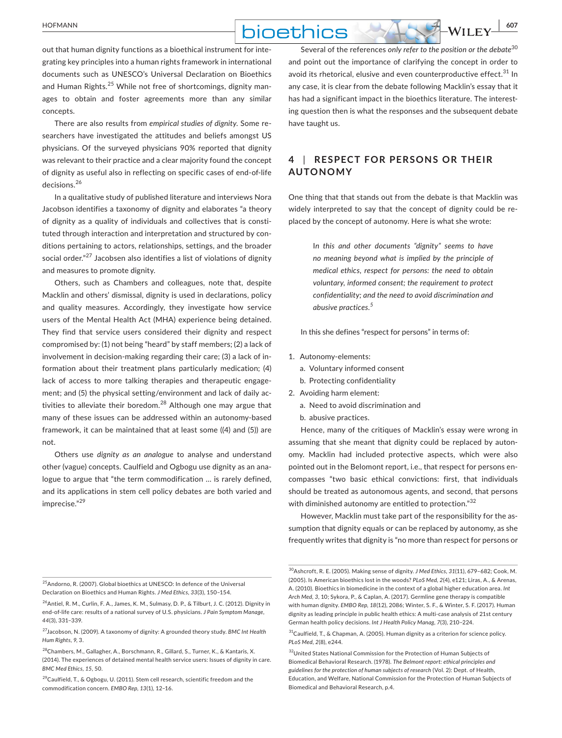## **bioethics**  $M_{\text{HUEY}}$  607

out that human dignity functions as a bioethical instrument for integrating key principles into a human rights framework in international documents such as UNESCO's Universal Declaration on Bioethics and Human Rights.<sup>25</sup> While not free of shortcomings, dignity manages to obtain and foster agreements more than any similar concepts.

There are also results from *empirical studies of dignity*. Some researchers have investigated the attitudes and beliefs amongst US physicians. Of the surveyed physicians 90% reported that dignity was relevant to their practice and a clear majority found the concept of dignity as useful also in reflecting on specific cases of end-of-life decisions.<sup>26</sup>

In a qualitative study of published literature and interviews Nora Jacobson identifies a taxonomy of dignity and elaborates "a theory of dignity as a quality of individuals and collectives that is constituted through interaction and interpretation and structured by conditions pertaining to actors, relationships, settings, and the broader social order."<sup>27</sup> Jacobsen also identifies a list of violations of dignity and measures to promote dignity.

Others, such as Chambers and colleagues, note that, despite Macklin and others' dismissal, dignity is used in declarations, policy and quality measures. Accordingly, they investigate how service users of the Mental Health Act (MHA) experience being detained. They find that service users considered their dignity and respect compromised by: (1) not being "heard" by staff members; (2) a lack of involvement in decision-making regarding their care; (3) a lack of information about their treatment plans particularly medication; (4) lack of access to more talking therapies and therapeutic engagement; and (5) the physical setting/environment and lack of daily activities to alleviate their boredom. $^{28}$  Although one may argue that many of these issues can be addressed within an autonomy-based framework, it can be maintained that at least some ((4) and (5)) are not.

Others use *dignity as an analogue* to analyse and understand other (vague) concepts. Caulfield and Ogbogu use dignity as an analogue to argue that "the term commodification … is rarely defined, and its applications in stem cell policy debates are both varied and imprecise."<sup>29</sup>

25Andorno, R. (2007). Global bioethics at UNESCO: In defence of the Universal Declaration on Bioethics and Human Rights. *J Med Ethics, 33*(3), 150–154.

 $29$ Caulfield, T., & Ogbogu, U. (2011). Stem cell research, scientific freedom and the commodification concern. *EMBO Rep, 13*(1), 12–16.

Several of the references *only refer to the position or the debate*<sup>30</sup> and point out the importance of clarifying the concept in order to avoid its rhetorical, elusive and even counterproductive effect.<sup>31</sup> In any case, it is clear from the debate following Macklin's essay that it has had a significant impact in the bioethics literature. The interesting question then is what the responses and the subsequent debate have taught us.

### **4** | **RESPEC T FOR PERSONS OR THEIR AUTONOMY**

One thing that that stands out from the debate is that Macklin was widely interpreted to say that the concept of dignity could be replaced by the concept of autonomy. Here is what she wrote:

> I*n this and other documents "dignity" seems to have no meaning beyond what is implied by the principle of medical ethics, respect for persons: the need to obtain voluntary, informed consent; the requirement to protect confidentiality; and the need to avoid discrimination and abusive practices.<sup>5</sup>*

In this she defines "respect for persons" in terms of:

- 1. Autonomy-elements:
	- a. Voluntary informed consent
	- b. Protecting confidentiality
- 2. Avoiding harm element:
	- a. Need to avoid discrimination and
	- b. abusive practices.

Hence, many of the critiques of Macklin's essay were wrong in assuming that she meant that dignity could be replaced by autonomy. Macklin had included protective aspects, which were also pointed out in the Belomont report, i.e., that respect for persons encompasses "two basic ethical convictions: first, that individuals should be treated as autonomous agents, and second, that persons with diminished autonomy are entitled to protection."<sup>32</sup>

However, Macklin must take part of the responsibility for the assumption that dignity equals or can be replaced by autonomy, as she frequently writes that dignity is "no more than respect for persons or

 $31$ Caulfield, T., & Chapman, A. (2005). Human dignity as a criterion for science policy. *PLoS Med, 2*(8), e244.

<sup>&</sup>lt;sup>26</sup> Antiel, R. M., Curlin, F. A., James, K. M., Sulmasy, D. P., & Tilburt, J. C. (2012). Dignity in end-of-life care: results of a national survey of U.S. physicians. *J Pain Symptom Manage, 44*(3), 331–339.

<sup>27</sup>Jacobson, N. (2009). A taxonomy of dignity: A grounded theory study. *BMC Int Health Hum Rights, 9*, 3.

<sup>28</sup>Chambers, M., Gallagher, A., Borschmann, R., Gillard, S., Turner, K., & Kantaris, X. (2014). The experiences of detained mental health service users: Issues of dignity in care. *BMC Med Ethics, 15*, 50.

<sup>30</sup>Ashcroft, R. E. (2005). Making sense of dignity. *J Med Ethics, 31*(11), 679–682; Cook, M. (2005). Is American bioethics lost in the woods? *PLoS Med, 2*(4), e121; Liras, A., & Arenas, A. (2010). Bioethics in biomedicine in the context of a global higher education area. *Int Arch Med, 3*, 10; Sykora, P., & Caplan, A. (2017). Germline gene therapy is compatible with human dignity. *EMBO Rep, 18*(12), 2086; Winter, S. F., & Winter, S. F. (2017). Human dignity as leading principle in public health ethics: A multi-case analysis of 21st century German health policy decisions. *Int J Health Policy Manag, 7*(3), 210–224.

<sup>32</sup>United States National Commission for the Protection of Human Subjects of Biomedical Behavioral Research. (1978). *The Belmont report: ethical principles and guidelines for the protection of human subjects of research* (Vol. 2): Dept. of Health, Education, and Welfare, National Commission for the Protection of Human Subjects of Biomedical and Behavioral Research, p.4.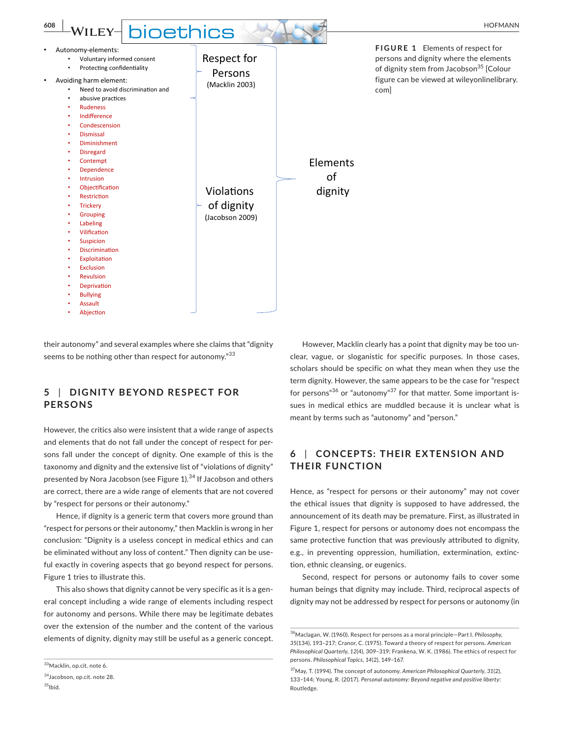

their autonomy" and several examples where she claims that "dignity seems to be nothing other than respect for autonomy."<sup>33</sup>

## **5** | DIGNITY BEYOND RESPECT FOR **PERSONS**

However, the critics also were insistent that a wide range of aspects and elements that do not fall under the concept of respect for persons fall under the concept of dignity. One example of this is the taxonomy and dignity and the extensive list of "violations of dignity" presented by Nora Jacobson (see Figure 1).<sup>34</sup> If Jacobson and others are correct, there are a wide range of elements that are not covered by "respect for persons or their autonomy."

Hence, if dignity is a generic term that covers more ground than "respect for persons or their autonomy," then Macklin is wrong in her conclusion: "Dignity is a useless concept in medical ethics and can be eliminated without any loss of content." Then dignity can be useful exactly in covering aspects that go beyond respect for persons. Figure 1 tries to illustrate this.

This also shows that dignity cannot be very specific as it is a general concept including a wide range of elements including respect for autonomy and persons. While there may be legitimate debates over the extension of the number and the content of the various elements of dignity, dignity may still be useful as a generic concept.

However, Macklin clearly has a point that dignity may be too unclear, vague, or sloganistic for specific purposes. In those cases, scholars should be specific on what they mean when they use the term dignity. However, the same appears to be the case for "respect for persons" $36$  or "autonomy" $37$  for that matter. Some important issues in medical ethics are muddled because it is unclear what is meant by terms such as "autonomy" and "person."

## **6** | **CONCEPTS: THEIR E X TENSION AND THEIR FUNCTION**

Hence, as "respect for persons or their autonomy" may not cover the ethical issues that dignity is supposed to have addressed, the announcement of its death may be premature. First, as illustrated in Figure 1, respect for persons or autonomy does not encompass the same protective function that was previously attributed to dignity, e.g., in preventing oppression, humiliation, extermination, extinction, ethnic cleansing, or eugenics.

Second, respect for persons or autonomy fails to cover some human beings that dignity may include. Third, reciprocal aspects of dignity may not be addressed by respect for persons or autonomy (in

<sup>33</sup>Macklin, op.cit. note 6.

<sup>34</sup>Jacobson, op.cit. note 28.  $35$ Ibid.

<sup>36</sup>Maclagan, W. (1960). Respect for persons as a moral principle—Part I. *Philosophy, 35*(134), 193–217; Cranor, C. (1975). Toward a theory of respect for persons. *American Philosophical Quarterly, 12*(4), 309–319; Frankena, W. K. (1986). The ethics of respect for persons. *Philosophical Topics, 14*(2), 149–167.

<sup>37</sup>May, T. (1994). The concept of autonomy. *American Philosophical Quarterly, 31*(2), 133–144; Young, R. (2017). *Personal autonomy: Beyond negative and positive liberty*: Routledge.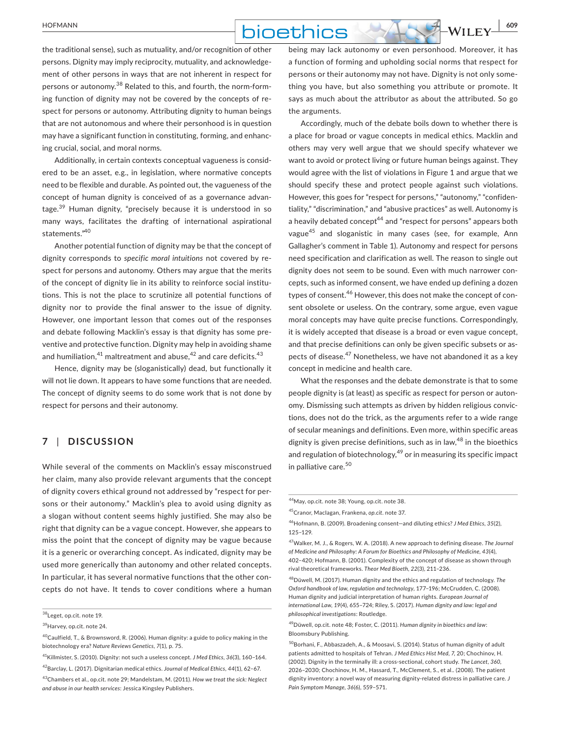## **bioethics**  $\frac{1}{2}$  WILEY  $\frac{1}{2}$  WILEY  $\frac{1}{2}$

the traditional sense), such as mutuality, and/or recognition of other persons. Dignity may imply reciprocity, mutuality, and acknowledgement of other persons in ways that are not inherent in respect for persons or autonomy.38 Related to this, and fourth, the norm-forming function of dignity may not be covered by the concepts of respect for persons or autonomy. Attributing dignity to human beings that are not autonomous and where their personhood is in question may have a significant function in constituting, forming, and enhancing crucial, social, and moral norms.

Additionally, in certain contexts conceptual vagueness is considered to be an asset, e.g., in legislation, where normative concepts need to be flexible and durable. As pointed out, the vagueness of the concept of human dignity is conceived of as a governance advantage.39 Human dignity, "precisely because it is understood in so many ways, facilitates the drafting of international aspirational statements."40

Another potential function of dignity may be that the concept of dignity corresponds to *specific moral intuitions* not covered by respect for persons and autonomy. Others may argue that the merits of the concept of dignity lie in its ability to reinforce social institutions. This is not the place to scrutinize all potential functions of dignity nor to provide the final answer to the issue of dignity. However, one important lesson that comes out of the responses and debate following Macklin's essay is that dignity has some preventive and protective function. Dignity may help in avoiding shame and humiliation, $^{41}$  maltreatment and abuse, $^{42}$  and care deficits. $^{43}$ 

Hence, dignity may be (sloganistically) dead, but functionally it will not lie down. It appears to have some functions that are needed. The concept of dignity seems to do some work that is not done by respect for persons and their autonomy.

#### **7** | **DISCUSSION**

While several of the comments on Macklin's essay misconstrued her claim, many also provide relevant arguments that the concept of dignity covers ethical ground not addressed by "respect for persons or their autonomy." Macklin's plea to avoid using dignity as a slogan without content seems highly justified. She may also be right that dignity can be a vague concept. However, she appears to miss the point that the concept of dignity may be vague because it is a generic or overarching concept. As indicated, dignity may be used more generically than autonomy and other related concepts. In particular, it has several normative functions that the other concepts do not have. It tends to cover conditions where a human being may lack autonomy or even personhood. Moreover, it has a function of forming and upholding social norms that respect for persons or their autonomy may not have. Dignity is not only something you have, but also something you attribute or promote. It says as much about the attributor as about the attributed. So go the arguments.

Accordingly, much of the debate boils down to whether there is a place for broad or vague concepts in medical ethics. Macklin and others may very well argue that we should specify whatever we want to avoid or protect living or future human beings against. They would agree with the list of violations in Figure 1 and argue that we should specify these and protect people against such violations. However, this goes for "respect for persons," "autonomy," "confidentiality," "discrimination," and "abusive practices" as well. Autonomy is a heavily debated concept<sup>44</sup> and "respect for persons" appears both vague45 and sloganistic in many cases (see, for example, Ann Gallagher's comment in Table 1). Autonomy and respect for persons need specification and clarification as well. The reason to single out dignity does not seem to be sound. Even with much narrower concepts, such as informed consent, we have ended up defining a dozen types of consent.<sup>46</sup> However, this does not make the concept of consent obsolete or useless. On the contrary, some argue, even vague moral concepts may have quite precise functions. Correspondingly, it is widely accepted that disease is a broad or even vague concept, and that precise definitions can only be given specific subsets or aspects of disease.<sup>47</sup> Nonetheless, we have not abandoned it as a key concept in medicine and health care.

What the responses and the debate demonstrate is that to some people dignity is (at least) as specific as respect for person or autonomy. Dismissing such attempts as driven by hidden religious convictions, does not do the trick, as the arguments refer to a wide range of secular meanings and definitions. Even more, within specific areas dignity is given precise definitions, such as in law,  $48$  in the bioethics and regulation of biotechnology,<sup>49</sup> or in measuring its specific impact in palliative care.<sup>50</sup>

<sup>38</sup>Leget, op.cit. note 19.

<sup>39</sup>Harvey, op.cit. note 24.

 $^{40}$ Caulfield, T., & Brownsword, R. (2006). Human dignity: a guide to policy making in the biotechnology era? *Nature Reviews Genetics, 7*(1), p. 75.

<sup>41</sup>Killmister, S. (2010). Dignity: not such a useless concept. *J Med Ethics, 36*(3), 160–164. 42Barclay, L. (2017). Dignitarian medical ethics. *Journal of Medical Ethics*, *44*(1), 62–67. 43Chambers et al., op.cit. note 29; Mandelstam, M. (2011). *How we treat the sick: Neglect and abuse in our health services*: Jessica Kingsley Publishers.

<sup>44</sup>May, op.cit. note 38; Young, op.cit. note 38.

<sup>45</sup>Cranor, MacIagan, Frankena, *op.cit*. note 37.

<sup>46</sup>Hofmann, B. (2009). Broadening consent—and diluting ethics? *J Med Ethics, 35*(2), 125–129.

<sup>47</sup>Walker, M. J., & Rogers, W. A. (2018). A new approach to defining disease. *The Journal of Medicine and Philosophy: A Forum for Bioethics and Philosophy of Medicine, 43*(4), 402–420; Hofmann, B. (2001). Complexity of the concept of disease as shown through rival theoretical frameworks. *Theor Med Bioeth, 22*(3), 211–236.

<sup>48</sup>Düwell, M. (2017). Human dignity and the ethics and regulation of technology. *The Oxford handbook of law, regulation and technology*, 177–196; McCrudden, C. (2008). Human dignity and judicial interpretation of human rights. *European Journal of international Law, 19*(4), 655–724; Riley, S. (2017). *Human dignity and law: legal and philosophical investigations*: Routledge.

<sup>49</sup>Düwell, op.cit. note 48; Foster, C. (2011). *Human dignity in bioethics and law*: Bloomsbury Publishing.

<sup>50</sup>Borhani, F., Abbaszadeh, A., & Moosavi, S. (2014). Status of human dignity of adult patients admitted to hospitals of Tehran. *J Med Ethics Hist Med, 7*, 20; Chochinov, H. (2002). Dignity in the terminally ill: a cross-sectional, cohort study. *The Lancet, 360*, 2026–2030; Chochinov, H. M., Hassard, T., McClement, S., et al.. (2008). The patient dignity inventory: a novel way of measuring dignity-related distress in palliative care. *J Pain Symptom Manage, 36*(6), 559–571.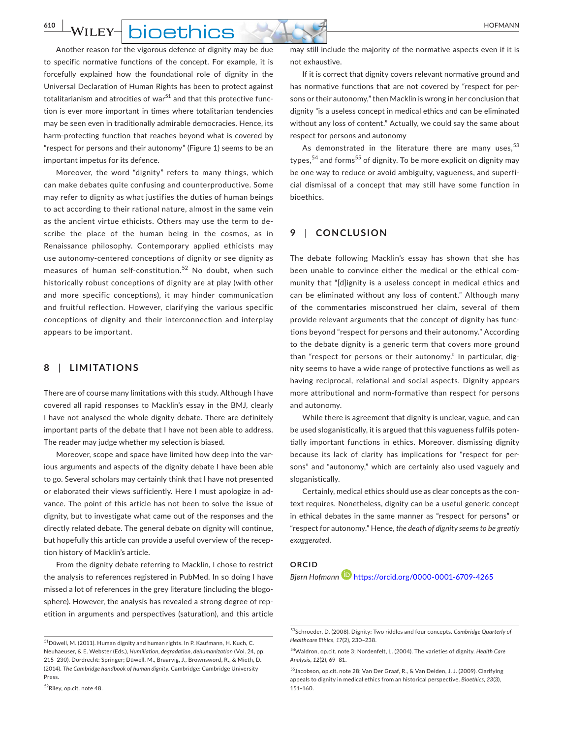## **610 WILEY- DIOETHICS**

Another reason for the vigorous defence of dignity may be due to specific normative functions of the concept. For example, it is forcefully explained how the foundational role of dignity in the Universal Declaration of Human Rights has been to protect against totalitarianism and atrocities of war $51$  and that this protective function is ever more important in times where totalitarian tendencies may be seen even in traditionally admirable democracies. Hence, its harm-protecting function that reaches beyond what is covered by "respect for persons and their autonomy" (Figure 1) seems to be an important impetus for its defence.

Moreover, the word "dignity" refers to many things, which can make debates quite confusing and counterproductive. Some may refer to dignity as what justifies the duties of human beings to act according to their rational nature, almost in the same vein as the ancient virtue ethicists. Others may use the term to describe the place of the human being in the cosmos, as in Renaissance philosophy. Contemporary applied ethicists may use autonomy-centered conceptions of dignity or see dignity as measures of human self-constitution.<sup>52</sup> No doubt, when such historically robust conceptions of dignity are at play (with other and more specific conceptions), it may hinder communication and fruitful reflection. However, clarifying the various specific conceptions of dignity and their interconnection and interplay appears to be important.

#### **8** | **LIMITATIONS**

There are of course many limitations with this study. Although I have covered all rapid responses to Macklin's essay in the BMJ, clearly I have not analysed the whole dignity debate. There are definitely important parts of the debate that I have not been able to address. The reader may judge whether my selection is biased.

Moreover, scope and space have limited how deep into the various arguments and aspects of the dignity debate I have been able to go. Several scholars may certainly think that I have not presented or elaborated their views sufficiently. Here I must apologize in advance. The point of this article has not been to solve the issue of dignity, but to investigate what came out of the responses and the directly related debate. The general debate on dignity will continue, but hopefully this article can provide a useful overview of the reception history of Macklin's article.

From the dignity debate referring to Macklin, I chose to restrict the analysis to references registered in PubMed. In so doing I have missed a lot of references in the grey literature (including the blogosphere). However, the analysis has revealed a strong degree of repetition in arguments and perspectives (saturation), and this article

52Riley, op.cit. note 48.

may still include the majority of the normative aspects even if it is not exhaustive.

If it is correct that dignity covers relevant normative ground and has normative functions that are not covered by "respect for persons or their autonomy," then Macklin is wrong in her conclusion that dignity "is a useless concept in medical ethics and can be eliminated without any loss of content." Actually, we could say the same about respect for persons and autonomy

As demonstrated in the literature there are many uses.<sup>53</sup> types,  $54$  and forms<sup>55</sup> of dignity. To be more explicit on dignity may be one way to reduce or avoid ambiguity, vagueness, and superficial dismissal of a concept that may still have some function in bioethics.

#### **9** | **CONCLUSION**

The debate following Macklin's essay has shown that she has been unable to convince either the medical or the ethical community that "[d]ignity is a useless concept in medical ethics and can be eliminated without any loss of content." Although many of the commentaries misconstrued her claim, several of them provide relevant arguments that the concept of dignity has functions beyond "respect for persons and their autonomy." According to the debate dignity is a generic term that covers more ground than "respect for persons or their autonomy." In particular, dignity seems to have a wide range of protective functions as well as having reciprocal, relational and social aspects. Dignity appears more attributional and norm-formative than respect for persons and autonomy.

While there is agreement that dignity is unclear, vague, and can be used sloganistically, it is argued that this vagueness fulfils potentially important functions in ethics. Moreover, dismissing dignity because its lack of clarity has implications for "respect for persons" and "autonomy," which are certainly also used vaguely and sloganistically.

Certainly, medical ethics should use as clear concepts as the context requires. Nonetheless, dignity can be a useful generic concept in ethical debates in the same manner as "respect for persons" or "respect for autonomy." Hence, *the death of dignity seems to be greatly exaggerated*.

## **ORCID**

*Bjørn Hofmann* <https://orcid.org/0000-0001-6709-4265>

 $51$ Düwell, M. (2011). Human dignity and human rights. In P. Kaufmann, H. Kuch, C. Neuhaeuser, & E. Webster (Eds.), *Humiliation, degradation, dehumanization* (Vol. 24, pp. 215–230). Dordrecht: Springer; Düwell, M., Braarvig, J., Brownsword, R., & Mieth, D. (2014). *The Cambridge handbook of human dignity*. Cambridge: Cambridge University Press.

<sup>53</sup>Schroeder, D. (2008). Dignity: Two riddles and four concepts. *Cambridge Quarterly of Healthcare Ethics, 17*(2), 230–238.

<sup>54</sup>Waldron, op.cit. note 3; Nordenfelt, L. (2004). The varieties of dignity. *Health Care Analysis, 12*(2), 69–81.

<sup>55</sup>Jacobson, op.cit. note 28; Van Der Graaf, R., & Van Delden, J. J. (2009). Clarifying appeals to dignity in medical ethics from an historical perspective. *Bioethics, 23*(3), 151–160.